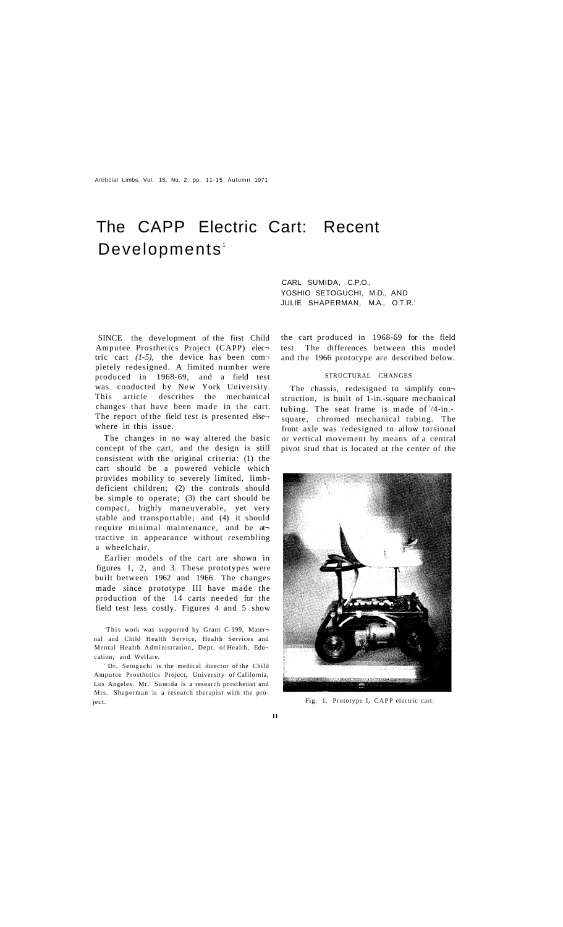Artificial Limbs, Vol. 15, No. 2, pp. 11-15, Autumn 1971

# The CAPP Electric Cart: Recent Developments<sup>1</sup>

CARL SUMIDA, C.P.O., YOSHIO SETOGUCHI, M.D., AND JULIE SHAPERMAN, M.A., O.T.R.<sup>2</sup>

SINCE the development of the first Child Amputee Prosthetics Project (CAPP) elec tric cart *(1-5),* the device has been com pletely redesigned. A limited number were produced in 1968-69, and a field test was conducted by New York University. This article describes the mechanical changes that have been made in the cart. The report of the field test is presented else where in this issue.

The changes in no way altered the basic concept of the cart, and the design is still consistent with the original criteria: (1) the cart should be a powered vehicle which provides mobility to severely limited, limbdeficient children; (2) the controls should be simple to operate; (3) the cart should be compact, highly maneuverable, yet very stable and transportable; and (4) it should require minimal maintenance, and be at tractive in appearance without resembling a wheelchair.

Earlier models of the cart are shown in figures 1, 2, and 3. These prototypes were built between 1962 and 1966. The changes made since prototype III have made the production of the 14 carts needed for the field test less costly. Figures 4 and 5 show

<sup>l</sup>This work was supported by Grant C-199, Mater nal and Child Health Service, Health Services and Mental Health Administration, Dept. of Health, Edu cation, and Welfare.

<sup>2</sup> Dr. Setoguchi is the medical director of the Child Amputee Prosthetics Project, University of California, Los Angeles. Mr. Sumida is a research prosthetist and Mrs. Shaperman is a research therapist with the project.

the cart produced in 1968-69 for the field test. The differences between this model and the 1966 prototype are described below.

#### STRUCTURAL CHANGES

The chassis, redesigned to simplify con struction, is built of 1-in.-square mechanical tubing. The seat frame is made of 3/4-in.square, chromed mechanical tubing. The front axle was redesigned to allow torsional or vertical movement by means of a central pivot stud that is located at the center of the



Fig. 1. Prototype I, CAPP electric cart.

**11**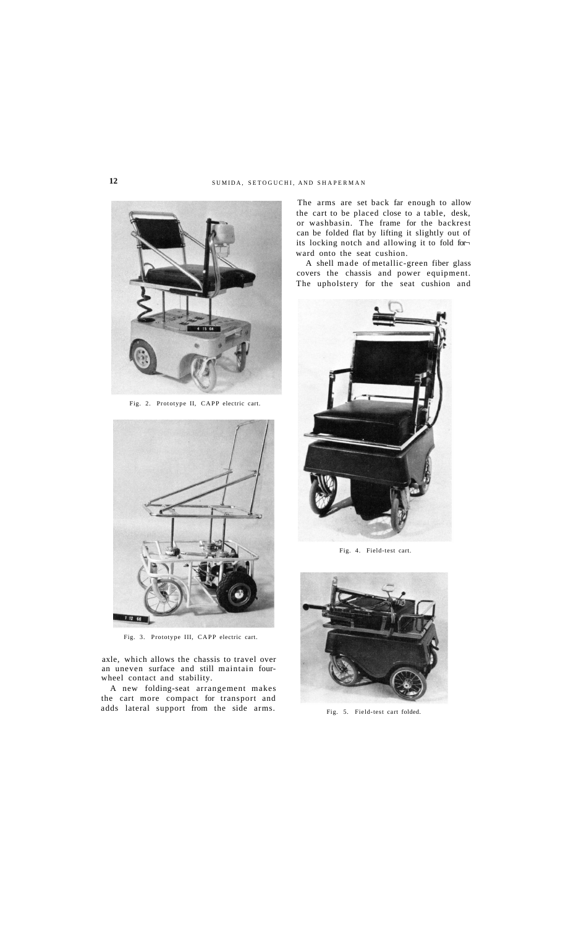# 12 SUMIDA, SETOGUCHI, AND SHAPERMAN



Fig. 2. Prototype II, CAPP electric cart.



Fig. 3. Prototype III, CAPP electric cart.

axle, which allows the chassis to travel over an uneven surface and still maintain fourwheel contact and stability.

A new folding-seat arrangement makes the cart more compact for transport and adds lateral support from the side arms.

The arms are set back far enough to allow the cart to be placed close to a table, desk, or washbasin. The frame for the backrest can be folded flat by lifting it slightly out of its locking notch and allowing it to fold for ward onto the seat cushion.

A shell made of metallic-green fiber glass covers the chassis and power equipment. The upholstery for the seat cushion and



Fig. 4. Field-test cart.



Fig. 5. Field-test cart folded.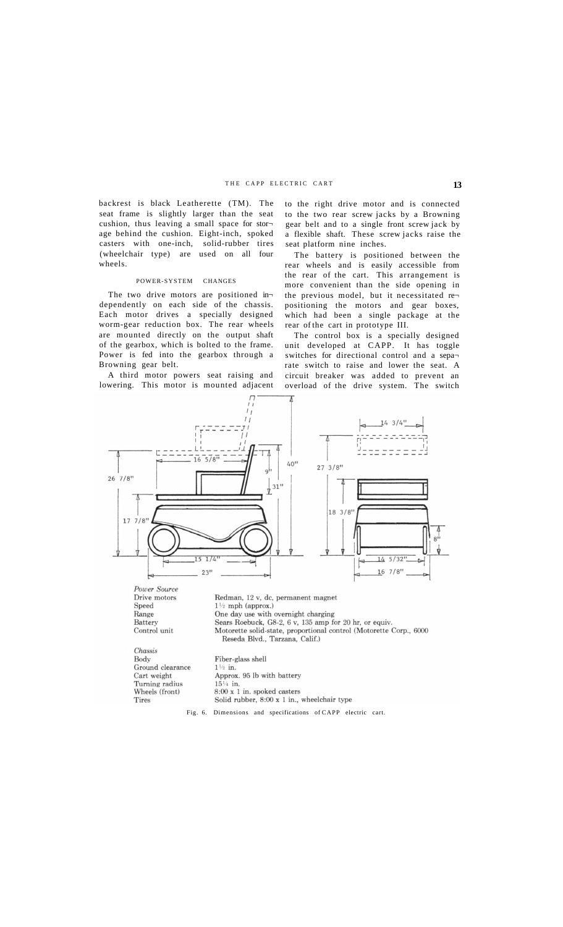## THE CAPP ELECTRIC CART 13

backrest is black Leatherette (TM). The seat frame is slightly larger than the seat cushion, thus leaving a small space for stor age behind the cushion. Eight-inch, spoked casters with one-inch, solid-rubber tires (wheelchair type) are used on all four wheels.

#### POWER-SYSTEM CHANGES

The two drive motors are positioned in dependently on each side of the chassis. Each motor drives a specially designed worm-gear reduction box. The rear wheels are mounted directly on the output shaft of the gearbox, which is bolted to the frame. Power is fed into the gearbox through a Browning gear belt.

A third motor powers seat raising and lowering. This motor is mounted adjacent to the right drive motor and is connected to the two rear screw jacks by a Browning gear belt and to a single front screw jack by a flexible shaft. These screw jacks raise the seat platform nine inches.

The battery is positioned between the rear wheels and is easily accessible from the rear of the cart. This arrangement is more convenient than the side opening in the previous model, but it necessitated re positioning the motors and gear boxes, which had been a single package at the rear of the cart in prototype III.

The control box is a specially designed unit developed at CAPP. It has toggle switches for directional control and a sepa rate switch to raise and lower the seat. A circuit breaker was added to prevent an overload of the drive system. The switch

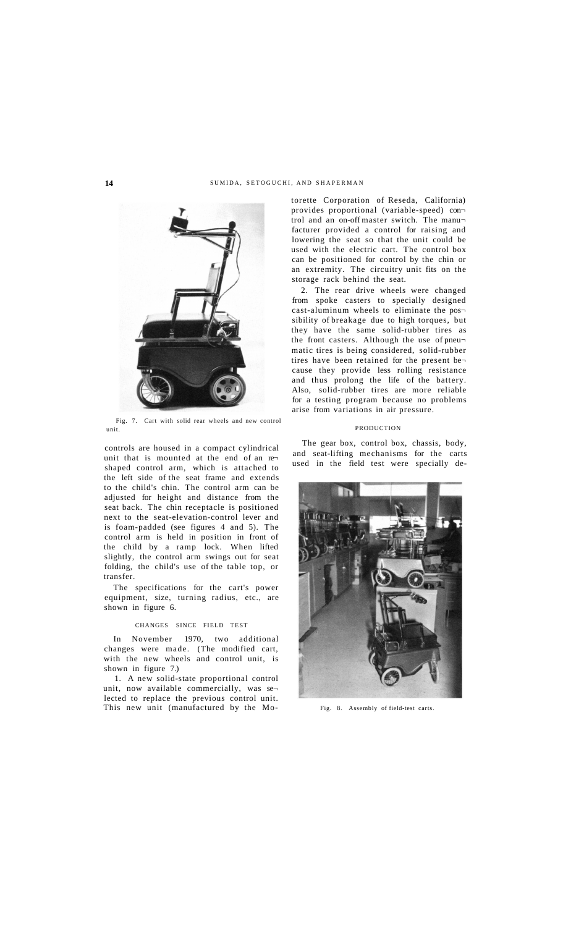### 14 SUMIDA, SETOGUCHI, AND SHAPERMAN



Fig. 7. Cart with solid rear wheels and new control unit.

controls are housed in a compact cylindrical unit that is mounted at the end of an re shaped control arm, which is attached to the left side of the seat frame and extends to the child's chin. The control arm can be adjusted for height and distance from the seat back. The chin receptacle is positioned next to the seat-elevation-control lever and is foam-padded (see figures 4 and 5). The control arm is held in position in front of the child by a ramp lock. When lifted slightly, the control arm swings out for seat folding, the child's use of the table top, or transfer.

The specifications for the cart's power equipment, size, turning radius, etc., are shown in figure 6.

#### CHANGES SINCE FIELD TEST

In November 1970, two additional changes were made. (The modified cart, with the new wheels and control unit, is shown in figure 7.)

1. A new solid-state proportional control unit, now available commercially, was se lected to replace the previous control unit. This new unit (manufactured by the Mo-<br>Fig. 8. Assembly of field-test carts.

torette Corporation of Reseda, California) provides proportional (variable-speed) con trol and an on-off master switch. The manufacturer provided a control for raising and lowering the seat so that the unit could be used with the electric cart. The control box can be positioned for control by the chin or an extremity. The circuitry unit fits on the storage rack behind the seat.

2. The rear drive wheels were changed from spoke casters to specially designed cast-aluminum wheels to eliminate the pos sibility of breakage due to high torques, but they have the same solid-rubber tires as the front casters. Although the use of pneu matic tires is being considered, solid-rubber tires have been retained for the present be cause they provide less rolling resistance and thus prolong the life of the battery. Also, solid-rubber tires are more reliable for a testing program because no problems arise from variations in air pressure.

#### **PRODUCTION**

The gear box, control box, chassis, body, and seat-lifting mechanisms for the carts used in the field test were specially de-